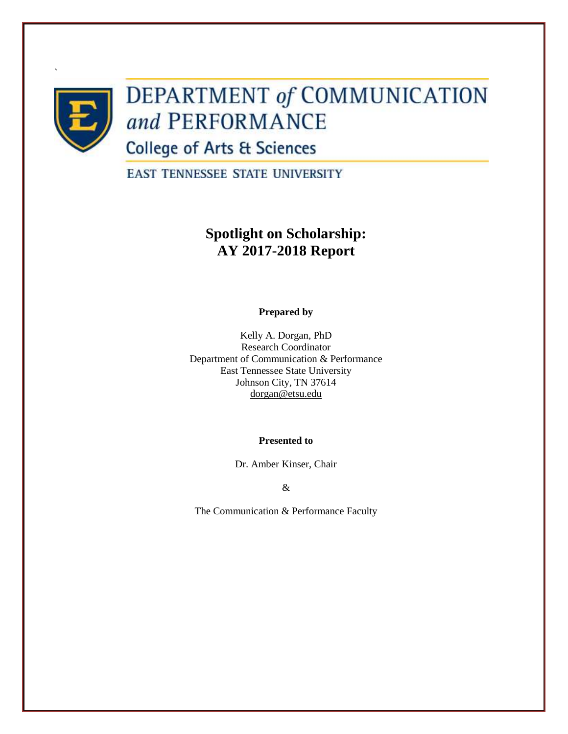

`

# **DEPARTMENT of COMMUNICATION** and PERFORMANCE

**College of Arts & Sciences** 

**EAST TENNESSEE STATE UNIVERSITY** 

## **Spotlight on Scholarship: AY 2017-2018 Report**

## **Prepared by**

Kelly A. Dorgan, PhD Research Coordinator Department of Communication & Performance East Tennessee State University Johnson City, TN 37614 [dorgan@etsu.edu](mailto:dorgan@etsu.edu)

**Presented to** 

Dr. Amber Kinser, Chair

&

The Communication & Performance Faculty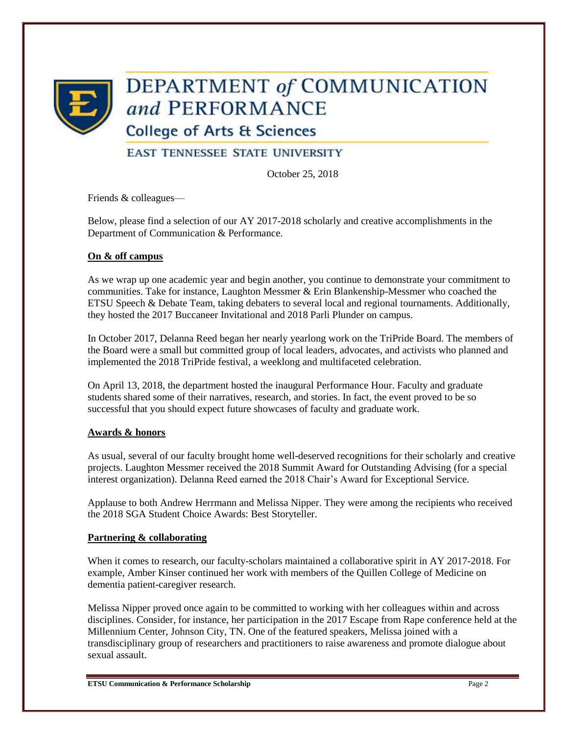

# DEPARTMENT of COMMUNICATION and PERFORMANCE

**College of Arts & Sciences** 

## **EAST TENNESSEE STATE UNIVERSITY**

October 25, 2018

Friends & colleagues—

Below, please find a selection of our AY 2017-2018 scholarly and creative accomplishments in the Department of Communication & Performance.

## **On & off campus**

As we wrap up one academic year and begin another, you continue to demonstrate your commitment to communities. Take for instance, Laughton Messmer & Erin Blankenship-Messmer who coached the ETSU Speech & Debate Team, taking debaters to several local and regional tournaments. Additionally, they hosted the 2017 Buccaneer Invitational and 2018 Parli Plunder on campus.

In October 2017, Delanna Reed began her nearly yearlong work on the TriPride Board. The members of the Board were a small but committed group of local leaders, advocates, and activists who planned and implemented the 2018 TriPride festival, a weeklong and multifaceted celebration.

On April 13, 2018, the department hosted the inaugural Performance Hour. Faculty and graduate students shared some of their narratives, research, and stories. In fact, the event proved to be so successful that you should expect future showcases of faculty and graduate work.

## **Awards & honors**

As usual, several of our faculty brought home well-deserved recognitions for their scholarly and creative projects. Laughton Messmer received the 2018 Summit Award for Outstanding Advising (for a special interest organization). Delanna Reed earned the 2018 Chair's Award for Exceptional Service.

Applause to both Andrew Herrmann and Melissa Nipper. They were among the recipients who received the 2018 SGA Student Choice Awards: Best Storyteller.

## **Partnering & collaborating**

When it comes to research, our faculty-scholars maintained a collaborative spirit in AY 2017-2018. For example, Amber Kinser continued her work with members of the Quillen College of Medicine on dementia patient-caregiver research.

Melissa Nipper proved once again to be committed to working with her colleagues within and across disciplines. Consider, for instance, her participation in the 2017 Escape from Rape conference held at the Millennium Center, Johnson City, TN. One of the featured speakers, Melissa joined with a transdisciplinary group of researchers and practitioners to raise awareness and promote dialogue about sexual assault.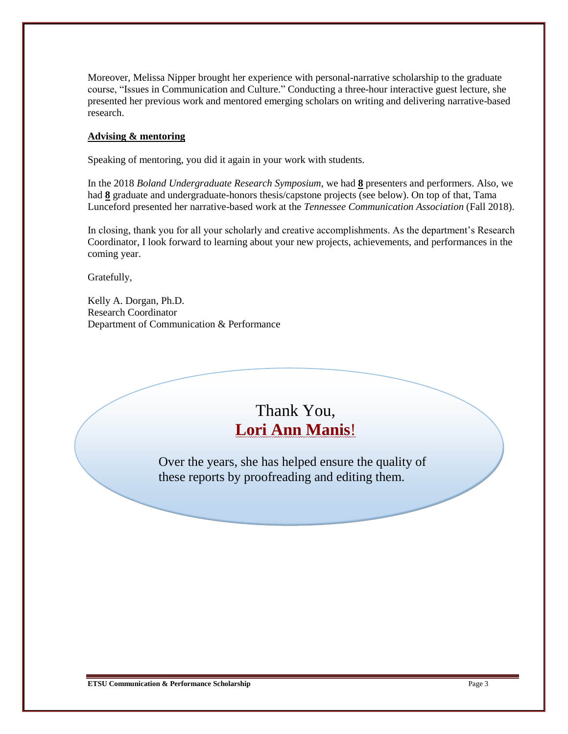Moreover, Melissa Nipper brought her experience with personal-narrative scholarship to the graduate course, "Issues in Communication and Culture." Conducting a three-hour interactive guest lecture, she presented her previous work and mentored emerging scholars on writing and delivering narrative-based research.

#### **Advising & mentoring**

Speaking of mentoring, you did it again in your work with students.

In the 2018 *Boland Undergraduate Research Symposium*, we had **8** presenters and performers. Also, we had **8** graduate and undergraduate-honors thesis/capstone projects (see below). On top of that, Tama Lunceford presented her narrative-based work at the *Tennessee Communication Association* (Fall 2018).

In closing, thank you for all your scholarly and creative accomplishments. As the department's Research Coordinator, I look forward to learning about your new projects, achievements, and performances in the coming year.

Gratefully,

Kelly A. Dorgan, Ph.D. Research Coordinator Department of Communication & Performance

## Thank You, **Lori Ann Manis**!

Over the years, she has helped ensure the quality of these reports by proofreading and editing them.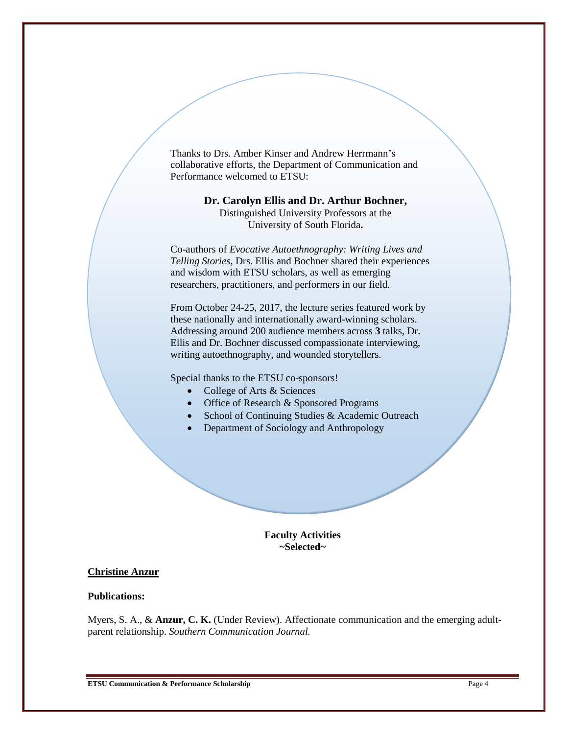Thanks to Drs. Amber Kinser and Andrew Herrmann's collaborative efforts, the Department of Communication and Performance welcomed to ETSU:

> **Dr. Carolyn Ellis and Dr. Arthur Bochner,**  Distinguished University Professors at the University of South Florida**.**

Co-authors of *Evocative Autoethnography: Writing Lives and Telling Stories*, Drs. Ellis and Bochner shared their experiences and wisdom with ETSU scholars, as well as emerging researchers, practitioners, and performers in our field.

From October 24-25, 2017, the lecture series featured work by these nationally and internationally award-winning scholars. Addressing around 200 audience members across **3** talks, Dr. Ellis and Dr. Bochner discussed compassionate interviewing, writing autoethnography, and wounded storytellers.

Special thanks to the ETSU co-sponsors!

- College of Arts & Sciences
- Office of Research & Sponsored Programs
- School of Continuing Studies & Academic Outreach
- Department of Sociology and Anthropology

#### **Faculty Activities ~Selected~**

### **Christine Anzur**

#### **Publications:**

Myers, S. A., & **Anzur, C. K.** (Under Review). Affectionate communication and the emerging adultparent relationship. *Southern Communication Journal.*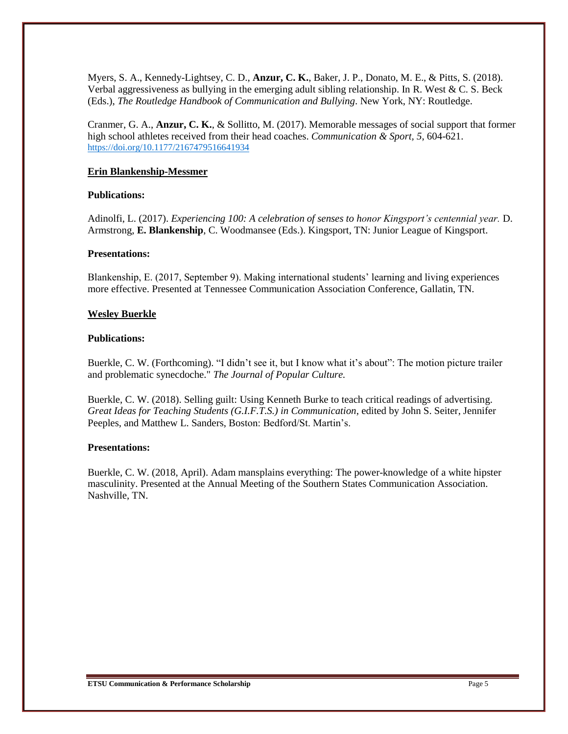Myers, S. A., Kennedy-Lightsey, C. D., **Anzur, C. K.**, Baker, J. P., Donato, M. E., & Pitts, S. (2018). Verbal aggressiveness as bullying in the emerging adult sibling relationship. In R. West & C. S. Beck (Eds.), *The Routledge Handbook of Communication and Bullying*. New York, NY: Routledge.

Cranmer, G. A., **Anzur, C. K.**, & Sollitto, M. (2017). Memorable messages of social support that former high school athletes received from their head coaches. *Communication & Sport, 5*, 604-621. [https://doi.org/10.1177/2167479516641934](https://doi.org/10.1177%2F2167479516641934)

#### **Erin Blankenship-Messmer**

#### **Publications:**

Adinolfi, L. (2017). *Experiencing 100: A celebration of senses to honor Kingsport's centennial year.* D. Armstrong, **E. Blankenship**, C. Woodmansee (Eds.). Kingsport, TN: Junior League of Kingsport.

#### **Presentations:**

Blankenship, E. (2017, September 9). Making international students' learning and living experiences more effective. Presented at Tennessee Communication Association Conference, Gallatin, TN.

#### **Wesley Buerkle**

#### **Publications:**

Buerkle, C. W. (Forthcoming). "I didn't see it, but I know what it's about": The motion picture trailer and problematic synecdoche." *The Journal of Popular Culture.*

Buerkle, C. W. (2018). Selling guilt: Using Kenneth Burke to teach critical readings of advertising. *Great Ideas for Teaching Students (G.I.F.T.S.) in Communication*, edited by John S. Seiter, Jennifer Peeples, and Matthew L. Sanders, Boston: Bedford/St. Martin's.

#### **Presentations:**

Buerkle, C. W. (2018, April). Adam mansplains everything: The power-knowledge of a white hipster masculinity. Presented at the Annual Meeting of the Southern States Communication Association. Nashville, TN.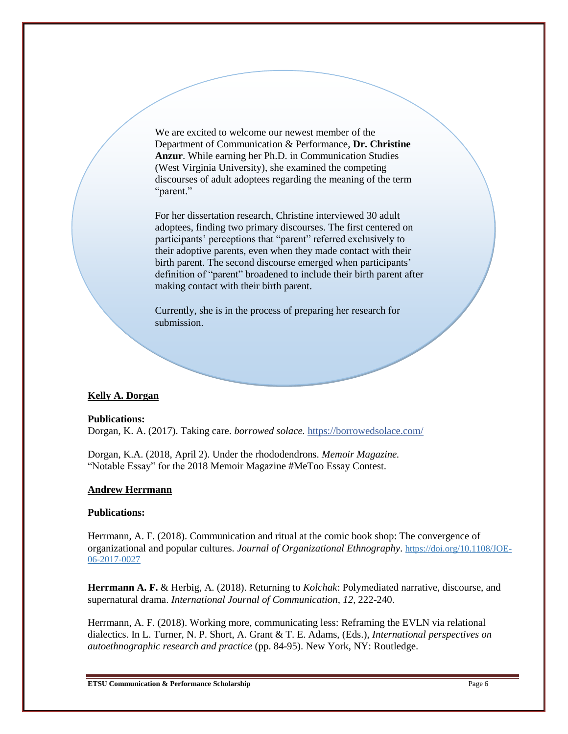We are excited to welcome our newest member of the Department of Communication & Performance, **Dr. Christine Anzur**. While earning her Ph.D. in Communication Studies (West Virginia University), she examined the competing discourses of adult adoptees regarding the meaning of the term "parent."

For her dissertation research, Christine interviewed 30 adult adoptees, finding two primary discourses. The first centered on participants' perceptions that "parent" referred exclusively to their adoptive parents, even when they made contact with their birth parent. The second discourse emerged when participants' definition of "parent" broadened to include their birth parent after making contact with their birth parent.

Currently, she is in the process of preparing her research for submission.

#### **Kelly A. Dorgan**

#### **Publications:**

Dorgan, K. A. (2017). Taking care. *borrowed solace.* <https://borrowedsolace.com/>

Dorgan, K.A. (2018, April 2). Under the rhododendrons. *Memoir Magazine.* "Notable Essay" for the 2018 Memoir Magazine #MeToo Essay Contest.

#### **Andrew Herrmann**

#### **Publications:**

Herrmann, A. F. (2018). Communication and ritual at the comic book shop: The convergence of organizational and popular cultures. *Journal of Organizational Ethnography*. [https://doi.org/10.1108/JOE-](https://doi.org/10.1108/JOE-06-2017-0027)[06-2017-0027](https://doi.org/10.1108/JOE-06-2017-0027)

**Herrmann A. F.** & Herbig, A. (2018). Returning to *Kolchak*: Polymediated narrative, discourse, and supernatural drama. *International Journal of Communication*, *12*, 222-240.

Herrmann, A. F. (2018). Working more, communicating less: Reframing the EVLN via relational dialectics. In L. Turner, N. P. Short, A. Grant & T. E. Adams, (Eds.), *International perspectives on autoethnographic research and practice* (pp. 84-95). New York, NY: Routledge.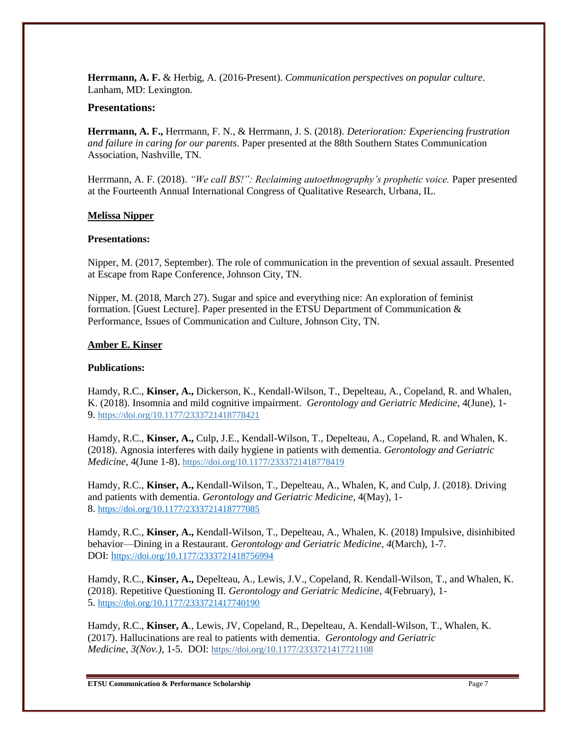**Herrmann, A. F.** & Herbig, A. (2016-Present). *Communication perspectives on popular culture*. Lanham, MD: Lexington.

#### **Presentations:**

**Herrmann, A. F.,** Herrmann, F. N., & Herrmann, J. S. (2018). *Deterioration: Experiencing frustration and failure in caring for our parents*. Paper presented at the 88th Southern States Communication Association, Nashville, TN.

Herrmann, A. F. (2018). *"We call BS!": Reclaiming autoethnography's prophetic voice.* Paper presented at the Fourteenth Annual International Congress of Qualitative Research, Urbana, IL.

#### **Melissa Nipper**

#### **Presentations:**

Nipper, M. (2017, September). The role of communication in the prevention of sexual assault. Presented at Escape from Rape Conference, Johnson City, TN.

Nipper, M. (2018, March 27). Sugar and spice and everything nice: An exploration of feminist formation. [Guest Lecture]. Paper presented in the ETSU Department of Communication & Performance, Issues of Communication and Culture, Johnson City, TN.

#### **Amber E. Kinser**

#### **Publications:**

Hamdy, R.C., **Kinser, A.,** Dickerson, K., Kendall-Wilson, T., Depelteau, A., Copeland, R. and Whalen, K. (2018). Insomnia and mild cognitive impairment. *Gerontology and Geriatric Medicine*, 4(June), 1- 9. [https://doi.org/10.1177/2333721418778421](https://doi.org/10.1177%2F2333721418778421)

Hamdy, R.C., **Kinser, A.,** Culp, J.E., Kendall-Wilson, T., Depelteau, A., Copeland, R. and Whalen, K. (2018). Agnosia interferes with daily hygiene in patients with dementia. *Gerontology and Geriatric Medicine*, 4(June 1-8). <https://doi.org/10.1177/2333721418778419>

Hamdy, R.C., **Kinser, A.,** Kendall-Wilson, T., Depelteau, A., Whalen, K, and Culp, J. (2018). Driving and patients with dementia. *Gerontology and Geriatric Medicine*, 4(May), 1- 8. [https://doi.org/10.1177/2333721418777085](https://doi.org/10.1177%2F2333721418777085)

Hamdy, R.C., **Kinser, A.,** Kendall-Wilson, T., Depelteau, A., Whalen, K. (2018) Impulsive, disinhibited behavior—Dining in a Restaurant. *Gerontology and Geriatric Medicine*, *4*(March), 1-7. DOI: h[ttps://doi.org/10.1177/2333721418756994](https://doi.org/10.1177/2333721418756994)

Hamdy, R.C., **Kinser, A.,** Depelteau, A., Lewis, J.V., Copeland, R. Kendall-Wilson, T., and Whalen, K. (2018). Repetitive Questioning II. *Gerontology and Geriatric Medicine*, 4(February), 1- 5. [https://doi.org/10.1177/2333721417740190](https://doi.org/10.1177%2F2333721417740190)

Hamdy, R.C., **Kinser, A**., Lewis, JV, Copeland, R., Depelteau, A. Kendall-Wilson, T., Whalen, K. (2017). Hallucinations are real to patients with dementia. *Gerontology and Geriatric Medicine*, *3(Nov.),* 1-5. DOI: [https://doi.org/10.1177/2333721417721108](https://doi.org/10.1177%2F2333721417721108)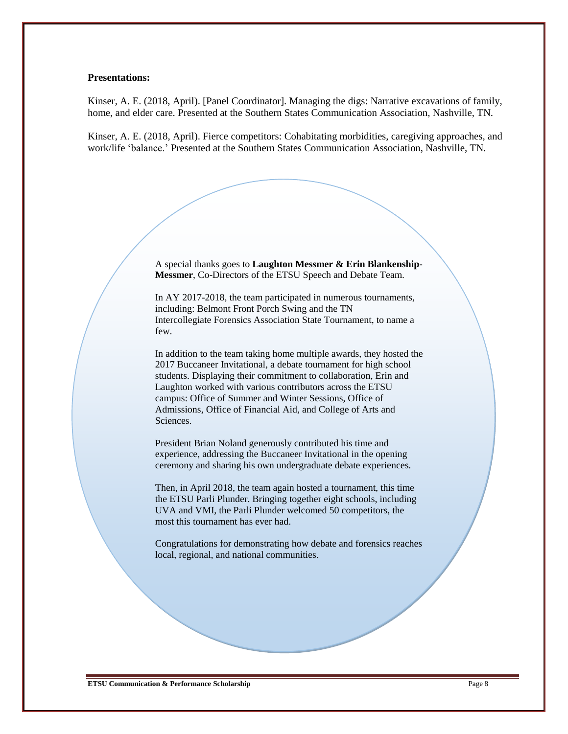#### **Presentations:**

Kinser, A. E. (2018, April). [Panel Coordinator]. Managing the digs: Narrative excavations of family, home, and elder care. Presented at the Southern States Communication Association, Nashville, TN.

Kinser, A. E. (2018, April). Fierce competitors: Cohabitating morbidities, caregiving approaches, and work/life 'balance.' Presented at the Southern States Communication Association, Nashville, TN.

> A special thanks goes to **Laughton Messmer & Erin Blankenship-Messmer**, Co-Directors of the ETSU Speech and Debate Team.

In AY 2017-2018, the team participated in numerous tournaments, including: Belmont Front Porch Swing and the TN Intercollegiate Forensics Association State Tournament, to name a few.

In addition to the team taking home multiple awards, they hosted the 2017 Buccaneer Invitational, a debate tournament for high school students. Displaying their commitment to collaboration, Erin and Laughton worked with various contributors across the ETSU campus: Office of Summer and Winter Sessions, Office of Admissions, Office of Financial Aid, and College of Arts and Sciences.

President Brian Noland generously contributed his time and experience, addressing the Buccaneer Invitational in the opening ceremony and sharing his own undergraduate debate experiences.

Then, in April 2018, the team again hosted a tournament, this time the ETSU Parli Plunder. Bringing together eight schools, including UVA and VMI, the Parli Plunder welcomed 50 competitors, the most this tournament has ever had.

Congratulations for demonstrating how debate and forensics reaches local, regional, and national communities.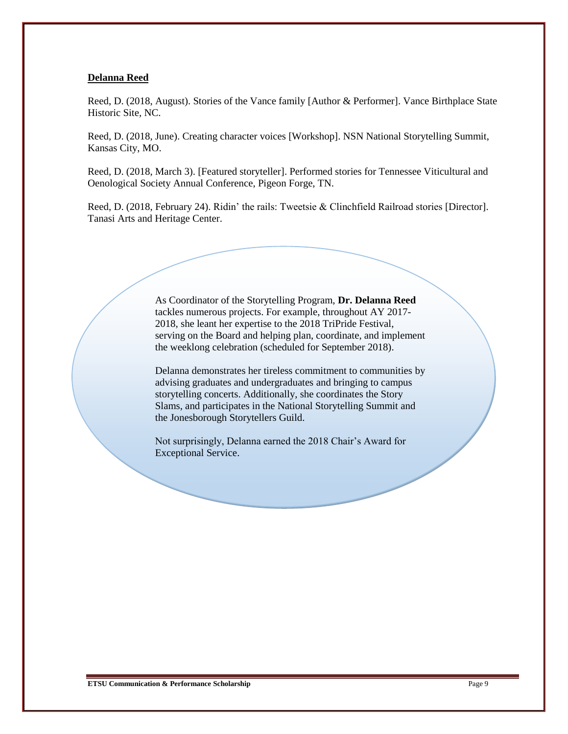#### **Delanna Reed**

Reed, D. (2018, August). Stories of the Vance family [Author & Performer]. Vance Birthplace State Historic Site, NC.

Reed, D. (2018, June). Creating character voices [Workshop]. NSN National Storytelling Summit, Kansas City, MO.

Reed, D. (2018, March 3). [Featured storyteller]. Performed stories for Tennessee Viticultural and Oenological Society Annual Conference, Pigeon Forge, TN.

Reed, D. (2018, February 24). Ridin' the rails: Tweetsie & Clinchfield Railroad stories [Director]. Tanasi Arts and Heritage Center.

> As Coordinator of the Storytelling Program, **Dr. Delanna Reed** tackles numerous projects. For example, throughout AY 2017- 2018, she leant her expertise to the 2018 TriPride Festival, serving on the Board and helping plan, coordinate, and implement the weeklong celebration (scheduled for September 2018).

> Delanna demonstrates her tireless commitment to communities by advising graduates and undergraduates and bringing to campus storytelling concerts. Additionally, she coordinates the Story Slams, and participates in the National Storytelling Summit and the Jonesborough Storytellers Guild.

Not surprisingly, Delanna earned the 2018 Chair's Award for Exceptional Service.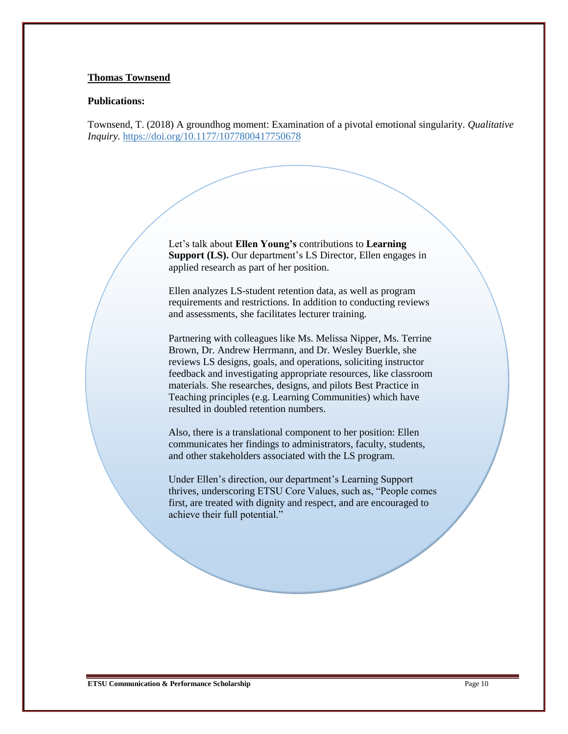#### **Thomas Townsend**

#### **Publications:**

Townsend, T. (2018) A groundhog moment: Examination of a pivotal emotional singularity. *Qualitative Inquiry.* [https://doi.org/10.1177/1077800417750678](https://doi.org/10.1177%2F1077800417750678)

> Let's talk about **Ellen Young's** contributions to **Learning Support (LS).** Our department's LS Director, Ellen engages in applied research as part of her position.

> Ellen analyzes LS-student retention data, as well as program requirements and restrictions. In addition to conducting reviews and assessments, she facilitates lecturer training.

Partnering with colleagues like Ms. Melissa Nipper, Ms. Terrine Brown, Dr. Andrew Herrmann, and Dr. Wesley Buerkle, she reviews LS designs, goals, and operations, soliciting instructor feedback and investigating appropriate resources, like classroom materials. She researches, designs, and pilots Best Practice in Teaching principles (e.g. Learning Communities) which have resulted in doubled retention numbers.

Also, there is a translational component to her position: Ellen communicates her findings to administrators, faculty, students, and other stakeholders associated with the LS program.

Under Ellen's direction, our department's Learning Support thrives, underscoring ETSU Core Values, such as, "People comes first, are treated with dignity and respect, and are encouraged to achieve their full potential."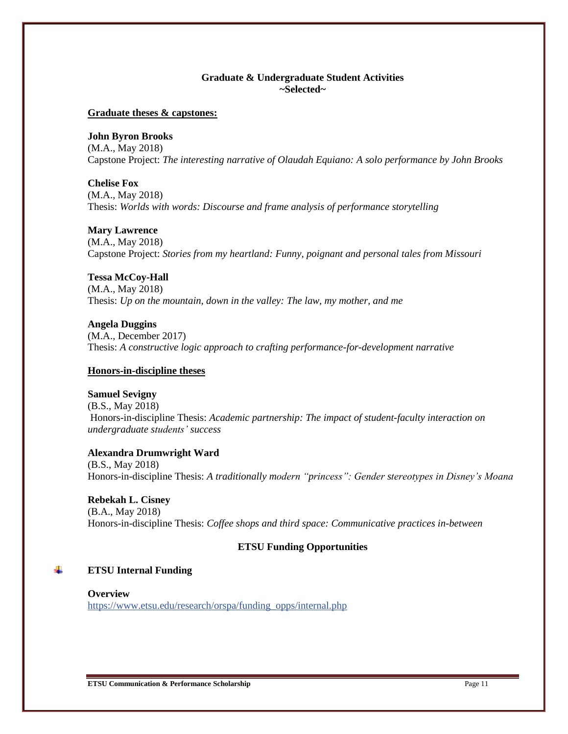### **Graduate & Undergraduate Student Activities ~Selected~**

#### **Graduate theses & capstones:**

**John Byron Brooks**

(M.A., May 2018) Capstone Project: *The interesting narrative of Olaudah Equiano: A solo performance by John Brooks*

**Chelise Fox**

(M.A., May 2018) Thesis: *Worlds with words: Discourse and frame analysis of performance storytelling*

#### **Mary Lawrence**

(M.A., May 2018) Capstone Project: *Stories from my heartland: Funny, poignant and personal tales from Missouri*

### **Tessa McCoy-Hall**

(M.A., May 2018) Thesis: *Up on the mountain, down in the valley: The law, my mother, and me*

**Angela Duggins** (M.A., December 2017) Thesis: *A constructive logic approach to crafting performance-for-development narrative*

#### **Honors-in-discipline theses**

#### **Samuel Sevigny**

(B.S., May 2018) Honors-in-discipline Thesis: *Academic partnership: The impact of student-faculty interaction on undergraduate students' success*

#### **Alexandra Drumwright Ward**

(B.S., May 2018) Honors-in-discipline Thesis: *A traditionally modern "princess": Gender stereotypes in Disney's Moana*

#### **Rebekah L. Cisney**

(B.A., May 2018) Honors-in-discipline Thesis: *Coffee shops and third space: Communicative practices in-between*

#### **ETSU Funding Opportunities**

#### ÷ **ETSU Internal Funding**

**Overview** [https://www.etsu.edu/research/orspa/funding\\_opps/internal.php](https://www.etsu.edu/research/orspa/funding_opps/internal.php)